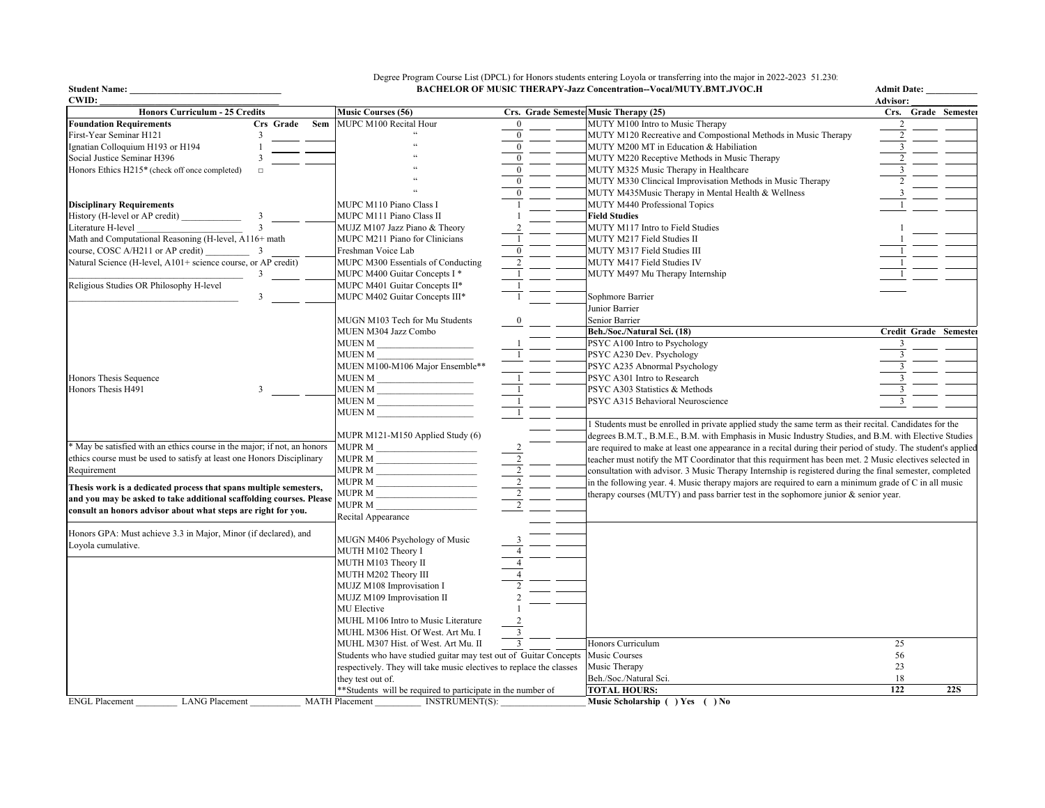**Student Name: \_\_\_\_\_\_\_\_\_\_\_\_\_\_\_\_\_\_\_\_\_\_\_\_\_\_\_\_\_\_\_\_\_ Admit Date: \_\_\_\_\_\_\_\_\_\_\_\_** Degree Program Course List (DPCL) for Honors students entering Loyola or transferring into the major in 2022-2023 51.2305 **BACHELOR OF MUSIC THERAPY-Jazz Concentration--Vocal/MUTY.BMT.JVOC.H**

| Crs. Grade Semeste Music Therapy (25)<br><b>Honors Curriculum - 25 Credits</b><br><b>Music Courses (56)</b><br><b>Foundation Requirements</b><br>Crs Grade<br>MUPC M100 Recital Hour<br>MUTY M100 Intro to Music Therapy<br>Sem<br>$\bf{0}$<br>First-Year Seminar H121<br>MUTY M120 Recreative and Compostional Methods in Music Therapy<br>$\bf{0}$<br>3 | Crs. Grade Semester<br>$\overline{2}$ |
|-----------------------------------------------------------------------------------------------------------------------------------------------------------------------------------------------------------------------------------------------------------------------------------------------------------------------------------------------------------|---------------------------------------|
|                                                                                                                                                                                                                                                                                                                                                           |                                       |
|                                                                                                                                                                                                                                                                                                                                                           |                                       |
|                                                                                                                                                                                                                                                                                                                                                           | $\overline{c}$                        |
| MUTY M200 MT in Education & Habiliation<br>Ignatian Colloquium H193 or H194<br>$\overline{0}$                                                                                                                                                                                                                                                             | 3                                     |
| Social Justice Seminar H396<br>$\mathbf{0}$<br>MUTY M220 Receptive Methods in Music Therapy                                                                                                                                                                                                                                                               |                                       |
| Honors Ethics H215* (check off once completed)<br>$\mathbf{0}$<br>MUTY M325 Music Therapy in Healthcare<br>$\Box$                                                                                                                                                                                                                                         | 3                                     |
| MUTY M330 Clincical Improvisation Methods in Music Therapy                                                                                                                                                                                                                                                                                                |                                       |
| MUTY M435Music Therapy in Mental Health & Wellness<br>$\theta$                                                                                                                                                                                                                                                                                            |                                       |
| MUTY M440 Professional Topics<br><b>Disciplinary Requirements</b><br>MUPC M110 Piano Class I                                                                                                                                                                                                                                                              |                                       |
| History (H-level or AP credit)<br>MUPC M111 Piano Class II<br><b>Field Studies</b>                                                                                                                                                                                                                                                                        |                                       |
| $\overline{\mathbf{3}}$<br>Literature H-level<br>MUJZ M107 Jazz Piano & Theory<br>MUTY M117 Intro to Field Studies                                                                                                                                                                                                                                        |                                       |
| Math and Computational Reasoning (H-level, A116+ math<br>MUPC M211 Piano for Clinicians<br>MUTY M217 Field Studies II                                                                                                                                                                                                                                     |                                       |
| course, COSC A/H211 or AP credit)<br>Freshman Voice Lab<br>MUTY M317 Field Studies III<br>3                                                                                                                                                                                                                                                               |                                       |
| Natural Science (H-level, A101+ science course, or AP credit)<br>MUPC M300 Essentials of Conducting<br>MUTY M417 Field Studies IV                                                                                                                                                                                                                         |                                       |
| MUPC M400 Guitar Concepts I *<br>MUTY M497 Mu Therapy Internship<br>3                                                                                                                                                                                                                                                                                     |                                       |
| Religious Studies OR Philosophy H-level<br>MUPC M401 Guitar Concepts II*                                                                                                                                                                                                                                                                                  |                                       |
| 3<br>MUPC M402 Guitar Concepts III*<br>Sophmore Barrier                                                                                                                                                                                                                                                                                                   |                                       |
| Junior Barrier                                                                                                                                                                                                                                                                                                                                            |                                       |
| Senior Barrier<br>MUGN M103 Tech for Mu Students                                                                                                                                                                                                                                                                                                          |                                       |
| MUEN M304 Jazz Combo<br>Beh./Soc./Natural Sci. (18)                                                                                                                                                                                                                                                                                                       | Credit Grade Semester                 |
| MUEN M<br>PSYC A100 Intro to Psychology                                                                                                                                                                                                                                                                                                                   | 3                                     |
| MUEN M<br>PSYC A230 Dev. Psychology                                                                                                                                                                                                                                                                                                                       |                                       |
| MUEN M100-M106 Major Ensemble**<br>PSYC A235 Abnormal Psychology                                                                                                                                                                                                                                                                                          |                                       |
| Honors Thesis Sequence<br>MUEN M<br>PSYC A301 Intro to Research                                                                                                                                                                                                                                                                                           |                                       |
| Honors Thesis H491<br>MUEN M<br>PSYC A303 Statistics & Methods<br>3                                                                                                                                                                                                                                                                                       | $\mathbf{3}$                          |
| MUEN M<br>PSYC A315 Behavioral Neuroscience                                                                                                                                                                                                                                                                                                               |                                       |
| <b>MUEN M</b>                                                                                                                                                                                                                                                                                                                                             |                                       |
| 1 Students must be enrolled in private applied study the same term as their recital. Candidates for the                                                                                                                                                                                                                                                   |                                       |
| MUPR M121-M150 Applied Study (6)<br>degrees B.M.T., B.M.E., B.M. with Emphasis in Music Industry Studies, and B.M. with Elective Studies                                                                                                                                                                                                                  |                                       |
| * May be satisfied with an ethics course in the major; if not, an honors<br><b>MUPR M</b><br>are required to make at least one appearance in a recital during their period of study. The student's applied                                                                                                                                                |                                       |
| $\overline{2}$<br>ethics course must be used to satisfy at least one Honors Disciplinary<br>MUPR M<br>teacher must notify the MT Coordinator that this requirment has been met. 2 Music electives selected in                                                                                                                                             |                                       |
| MUPR M<br>Requirement<br>consultation with advisor. 3 Music Therapy Internship is registered during the final semester, completed                                                                                                                                                                                                                         |                                       |
| $\overline{2}$<br>MUPR M<br>in the following year. 4. Music therapy majors are required to earn a minimum grade of C in all music                                                                                                                                                                                                                         |                                       |
| Thesis work is a dedicated process that spans multiple semesters,<br>MUPR M<br>therapy courses (MUTY) and pass barrier test in the sophomore junior & senior year.                                                                                                                                                                                        |                                       |
| and you may be asked to take additional scaffolding courses. Please<br>MUPR M                                                                                                                                                                                                                                                                             |                                       |
| consult an honors advisor about what steps are right for you.<br>Recital Appearance                                                                                                                                                                                                                                                                       |                                       |
|                                                                                                                                                                                                                                                                                                                                                           |                                       |
| Honors GPA: Must achieve 3.3 in Major, Minor (if declared), and<br>MUGN M406 Psychology of Music                                                                                                                                                                                                                                                          |                                       |
| Loyola cumulative.<br>MUTH M102 Theory I                                                                                                                                                                                                                                                                                                                  |                                       |
| MUTH M103 Theory II                                                                                                                                                                                                                                                                                                                                       |                                       |
| MUTH M202 Theory III                                                                                                                                                                                                                                                                                                                                      |                                       |
| MUJZ M108 Improvisation I                                                                                                                                                                                                                                                                                                                                 |                                       |
| MUJZ M109 Improvisation II                                                                                                                                                                                                                                                                                                                                |                                       |
| <b>MU</b> Elective                                                                                                                                                                                                                                                                                                                                        |                                       |
| MUHL M106 Intro to Music Literature                                                                                                                                                                                                                                                                                                                       |                                       |
| MUHL M306 Hist. Of West. Art Mu. I<br>3                                                                                                                                                                                                                                                                                                                   |                                       |
| Honors Curriculum<br>MUHL M307 Hist. of West. Art Mu. II<br>3                                                                                                                                                                                                                                                                                             | 25                                    |
| Students who have studied guitar may test out of Guitar Concepts<br>Music Courses                                                                                                                                                                                                                                                                         | 56                                    |
| Music Therapy<br>respectively. They will take music electives to replace the classes                                                                                                                                                                                                                                                                      | 23                                    |
| Beh./Soc./Natural Sci.<br>they test out of.                                                                                                                                                                                                                                                                                                               | 18                                    |
| ** Students will be required to participate in the number of<br><b>TOTAL HOURS:</b>                                                                                                                                                                                                                                                                       | 122<br><b>22S</b>                     |
| <b>LANG Placement</b><br><b>INSTRUMENT(S):</b><br><b>ENGL Placement</b><br><b>MATH Placement</b><br>Music Scholarship () Yes () No                                                                                                                                                                                                                        |                                       |